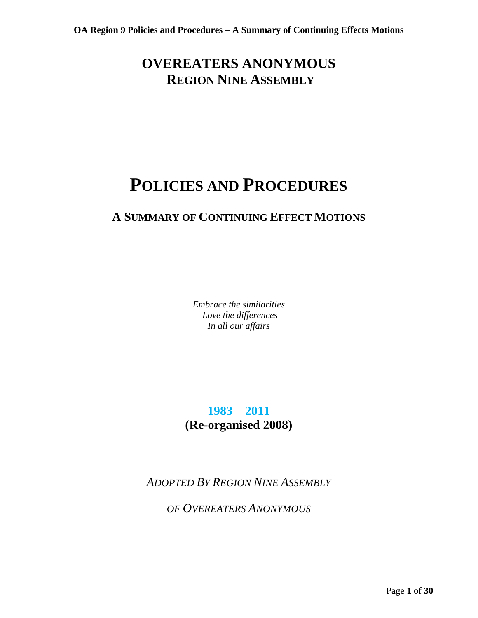## **OVEREATERS ANONYMOUS REGION NINE ASSEMBLY**

# **POLICIES AND PROCEDURES**

## **A SUMMARY OF CONTINUING EFFECT MOTIONS**

*Embrace the similarities Love the differences In all our affairs* 

**1983 – 2011 (Re-organised 2008)**

*ADOPTED BY REGION NINE ASSEMBLY* 

*OF OVEREATERS ANONYMOUS*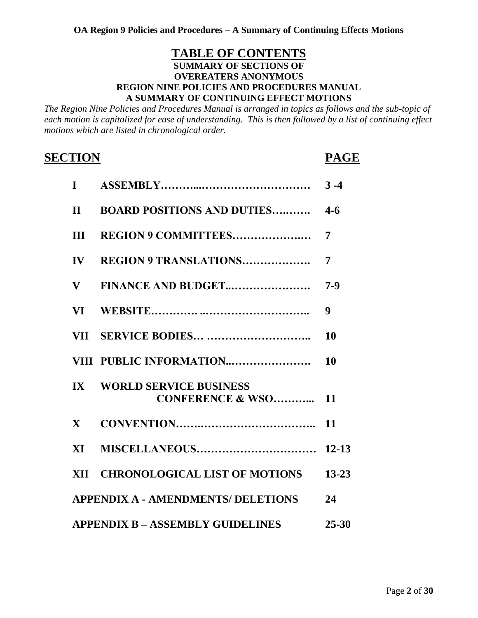## **TABLE OF CONTENTS SUMMARY OF SECTIONS OF OVEREATERS ANONYMOUS REGION NINE POLICIES AND PROCEDURES MANUAL A SUMMARY OF CONTINUING EFFECT MOTIONS**

*The Region Nine Policies and Procedures Manual is arranged in topics as follows and the sub-topic of each motion is capitalized for ease of understanding. This is then followed by a list of continuing effect motions which are listed in chronological order.*

## **SECTION PAGE**

| $\mathbf{I}$                              |                                                              | $3 - 4$   |
|-------------------------------------------|--------------------------------------------------------------|-----------|
| $\mathbf{H}$                              | <b>BOARD POSITIONS AND DUTIES</b>                            | $4 - 6$   |
| III                                       | REGION 9 COMMITTEES                                          | 7         |
| $\mathbf{IV}$                             | <b>REGION 9 TRANSLATIONS</b>                                 | 7         |
| $\mathbf{V}$                              | FINANCE AND BUDGET                                           | $7-9$     |
| <b>VI</b>                                 |                                                              | 9         |
|                                           |                                                              | 10        |
|                                           | VIII PUBLIC INFORMATION                                      | 10        |
| $\mathbf{I} \mathbf{X}$                   | <b>WORLD SERVICE BUSINESS</b><br><b>CONFERENCE &amp; WSO</b> | 11        |
| $\mathbf{X}$                              |                                                              | 11        |
| $\bold{X}\bold{I}$                        |                                                              | $12 - 13$ |
|                                           | XII CHRONOLOGICAL LIST OF MOTIONS                            | $13 - 23$ |
| <b>APPENDIX A - AMENDMENTS/ DELETIONS</b> |                                                              |           |
| <b>APPENDIX B - ASSEMBLY GUIDELINES</b>   |                                                              |           |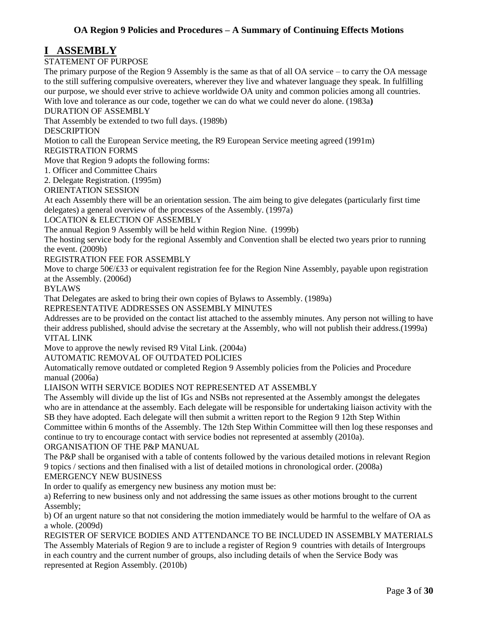## **I ASSEMBLY**

## STATEMENT OF PURPOSE

The primary purpose of the Region 9 Assembly is the same as that of all OA service – to carry the OA message to the still suffering compulsive overeaters, wherever they live and whatever language they speak. In fulfilling our purpose, we should ever strive to achieve worldwide OA unity and common policies among all countries. With love and tolerance as our code, together we can do what we could never do alone. (1983a**)**

DURATION OF ASSEMBLY

That Assembly be extended to two full days. (1989b)

DESCRIPTION

Motion to call the European Service meeting, the R9 European Service meeting agreed (1991m)

REGISTRATION FORMS

Move that Region 9 adopts the following forms:

1. Officer and Committee Chairs

2. Delegate Registration. (1995m)

ORIENTATION SESSION

At each Assembly there will be an orientation session. The aim being to give delegates (particularly first time delegates) a general overview of the processes of the Assembly. (1997a)

LOCATION & ELECTION OF ASSEMBLY

The annual Region 9 Assembly will be held within Region Nine. (1999b)

The hosting service body for the regional Assembly and Convention shall be elected two years prior to running the event. (2009b)

REGISTRATION FEE FOR ASSEMBLY

Move to charge 50€/£33 or equivalent registration fee for the Region Nine Assembly, payable upon registration at the Assembly. (2006d)

BYLAWS

That Delegates are asked to bring their own copies of Bylaws to Assembly. (1989a)

REPRESENTATIVE ADDRESSES ON ASSEMBLY MINUTES

Addresses are to be provided on the contact list attached to the assembly minutes. Any person not willing to have their address published, should advise the secretary at the Assembly, who will not publish their address.(1999a) VITAL LINK

Move to approve the newly revised R9 Vital Link. (2004a)

AUTOMATIC REMOVAL OF OUTDATED POLICIES

Automatically remove outdated or completed Region 9 Assembly policies from the Policies and Procedure manual (2006a)

LIAISON WITH SERVICE BODIES NOT REPRESENTED AT ASSEMBLY

The Assembly will divide up the list of IGs and NSBs not represented at the Assembly amongst the delegates who are in attendance at the assembly. Each delegate will be responsible for undertaking liaison activity with the SB they have adopted. Each delegate will then submit a written report to the Region 9 12th Step Within Committee within 6 months of the Assembly. The 12th Step Within Committee will then log these responses and continue to try to encourage contact with service bodies not represented at assembly (2010a). ORGANISATION OF THE P&P MANUAL

The P&P shall be organised with a table of contents followed by the various detailed motions in relevant Region 9 topics / sections and then finalised with a list of detailed motions in chronological order. (2008a) EMERGENCY NEW BUSINESS

In order to qualify as emergency new business any motion must be:

a) Referring to new business only and not addressing the same issues as other motions brought to the current Assembly;

b) Of an urgent nature so that not considering the motion immediately would be harmful to the welfare of OA as a whole. (2009d)

REGISTER OF SERVICE BODIES AND ATTENDANCE TO BE INCLUDED IN ASSEMBLY MATERIALS The Assembly Materials of Region 9 are to include a register of Region 9 countries with details of Intergroups in each country and the current number of groups, also including details of when the Service Body was represented at Region Assembly. (2010b)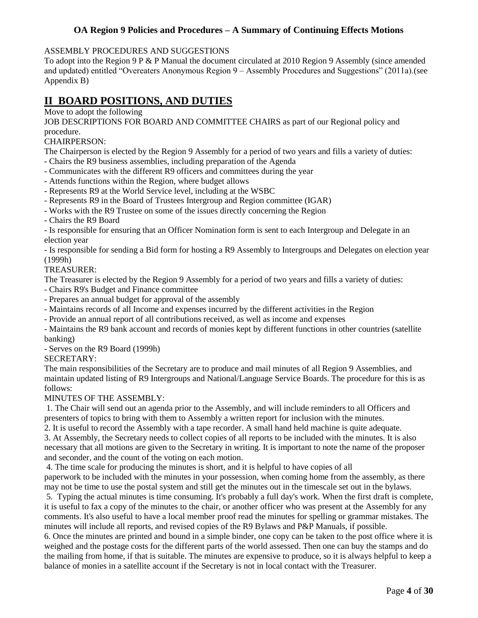## ASSEMBLY PROCEDURES AND SUGGESTIONS

To adopt into the Region 9 P & P Manual the document circulated at 2010 Region 9 Assembly (since amended and updated) entitled "Overeaters Anonymous Region 9 – Assembly Procedures and Suggestions" (2011a).(see Appendix B)

## **II BOARD POSITIONS, AND DUTIES**

Move to adopt the following

JOB DESCRIPTIONS FOR BOARD AND COMMITTEE CHAIRS as part of our Regional policy and procedure.

## CHAIRPERSON:

The Chairperson is elected by the Region 9 Assembly for a period of two years and fills a variety of duties:

- Chairs the R9 business assemblies, including preparation of the Agenda
- Communicates with the different R9 officers and committees during the year
- Attends functions within the Region, where budget allows
- Represents R9 at the World Service level, including at the WSBC
- Represents R9 in the Board of Trustees Intergroup and Region committee (IGAR)
- Works with the R9 Trustee on some of the issues directly concerning the Region
- Chairs the R9 Board

- Is responsible for ensuring that an Officer Nomination form is sent to each Intergroup and Delegate in an election year

- Is responsible for sending a Bid form for hosting a R9 Assembly to Intergroups and Delegates on election year (1999h)

## TREASURER:

The Treasurer is elected by the Region 9 Assembly for a period of two years and fills a variety of duties:

- Chairs R9's Budget and Finance committee
- Prepares an annual budget for approval of the assembly
- Maintains records of all Income and expenses incurred by the different activities in the Region
- Provide an annual report of all contributions received, as well as income and expenses

- Maintains the R9 bank account and records of monies kept by different functions in other countries (satellite banking)

- Serves on the R9 Board (1999h)

SECRETARY:

The main responsibilities of the Secretary are to produce and mail minutes of all Region 9 Assemblies, and maintain updated listing of R9 Intergroups and National/Language Service Boards. The procedure for this is as follows:

## MINUTES OF THE ASSEMBLY:

1. The Chair will send out an agenda prior to the Assembly, and will include reminders to all Officers and presenters of topics to bring with them to Assembly a written report for inclusion with the minutes.

2. It is useful to record the Assembly with a tape recorder. A small hand held machine is quite adequate. 3. At Assembly, the Secretary needs to collect copies of all reports to be included with the minutes. It is also

necessary that all motions are given to the Secretary in writing. It is important to note the name of the proposer and seconder, and the count of the voting on each motion.

4. The time scale for producing the minutes is short, and it is helpful to have copies of all paperwork to be included with the minutes in your possession, when coming home from the assembly, as there may not be time to use the postal system and still get the minutes out in the timescale set out in the bylaws.

5. Typing the actual minutes is time consuming. It's probably a full day's work. When the first draft is complete, it is useful to fax a copy of the minutes to the chair, or another officer who was present at the Assembly for any comments. It's also useful to have a local member proof read the minutes for spelling or grammar mistakes. The minutes will include all reports, and revised copies of the R9 Bylaws and P&P Manuals, if possible.

6. Once the minutes are printed and bound in a simple binder, one copy can be taken to the post office where it is weighed and the postage costs for the different parts of the world assessed. Then one can buy the stamps and do the mailing from home, if that is suitable. The minutes are expensive to produce, so it is always helpful to keep a balance of monies in a satellite account if the Secretary is not in local contact with the Treasurer.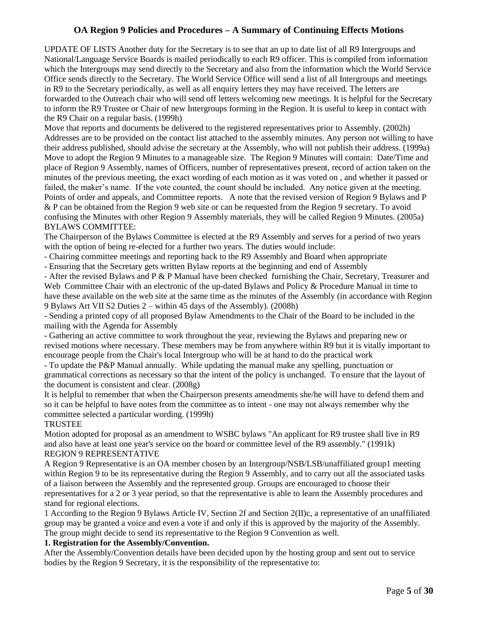UPDATE OF LISTS Another duty for the Secretary is to see that an up to date list of all R9 Intergroups and National/Language Service Boards is mailed periodically to each R9 officer. This is compiled from information which the Intergroups may send directly to the Secretary and also from the information which the World Service Office sends directly to the Secretary. The World Service Office will send a list of all Intergroups and meetings in R9 to the Secretary periodically, as well as all enquiry letters they may have received. The letters are forwarded to the Outreach chair who will send off letters welcoming new meetings. It is helpful for the Secretary to inform the R9 Trustee or Chair of new Intergroups forming in the Region. It is useful to keep in contact with the R9 Chair on a regular basis. (1999h)

Move that reports and documents be delivered to the registered representatives prior to Assembly. (2002h) Addresses are to be provided on the contact list attached to the assembly minutes. Any person not willing to have their address published, should advise the secretary at the Assembly, who will not publish their address. (1999a) Move to adopt the Region 9 Minutes to a manageable size. The Region 9 Minutes will contain: Date/Time and place of Region 9 Assembly, names of Officers, number of representatives present, record of action taken on the minutes of the previous meeting, the exact wording of each motion as it was voted on , and whether it passed or failed, the maker's name. If the vote counted, the count should be included. Any notice given at the meeting. Points of order and appeals, and Committee reports. A note that the revised version of Region 9 Bylaws and P & P can be obtained from the Region 9 web site or can be requested from the Region 9 secretary. To avoid confusing the Minutes with other Region 9 Assembly materials, they will be called Region 9 Minutes. (2005a) BYLAWS COMMITTEE:

The Chairperson of the Bylaws Committee is elected at the R9 Assembly and serves for a period of two years with the option of being re-elected for a further two years. The duties would include:

- Chairing committee meetings and reporting back to the R9 Assembly and Board when appropriate

- Ensuring that the Secretary gets written Bylaw reports at the beginning and end of Assembly

- After the revised Bylaws and P & P Manual have been checked furnishing the Chair, Secretary, Treasurer and Web Committee Chair with an electronic of the up-dated Bylaws and Policy & Procedure Manual in time to have these available on the web site at the same time as the minutes of the Assembly (in accordance with Region 9 Bylaws Art VII S2 Duties 2 – within 45 days of the Assembly). (2008h)

- Sending a printed copy of all proposed Bylaw Amendments to the Chair of the Board to be included in the mailing with the Agenda for Assembly

- Gathering an active committee to work throughout the year, reviewing the Bylaws and preparing new or revised motions where necessary. These members may be from anywhere within R9 but it is vitally important to encourage people from the Chair's local Intergroup who will be at hand to do the practical work

- To update the P&P Manual annually. While updating the manual make any spelling, punctuation or grammatical corrections as necessary so that the intent of the policy is unchanged. To ensure that the layout of the document is consistent and clear. (2008g)

It is helpful to remember that when the Chairperson presents amendments she/he will have to defend them and so it can be helpful to have notes from the committee as to intent - one may not always remember why the committee selected a particular wording. (1999h)

## TRUSTEE

Motion adopted for proposal as an amendment to WSBC bylaws "An applicant for R9 trustee shall live in R9 and also have at least one year's service on the board or committee level of the R9 assembly." (1991k) REGION 9 REPRESENTATIVE

A Region 9 Representative is an OA member chosen by an Intergroup/NSB/LSB/unaffiliated group1 meeting within Region 9 to be its representative during the Region 9 Assembly, and to carry out all the associated tasks of a liaison between the Assembly and the represented group. Groups are encouraged to choose their representatives for a 2 or 3 year period, so that the representative is able to learn the Assembly procedures and stand for regional elections.

1 According to the Region 9 Bylaws Article IV, Section 2f and Section 2(II)c, a representative of an unaffiliated group may be granted a voice and even a vote if and only if this is approved by the majority of the Assembly. The group might decide to send its representative to the Region 9 Convention as well.

## **1. Registration for the Assembly/Convention.**

After the Assembly/Convention details have been decided upon by the hosting group and sent out to service bodies by the Region 9 Secretary, it is the responsibility of the representative to: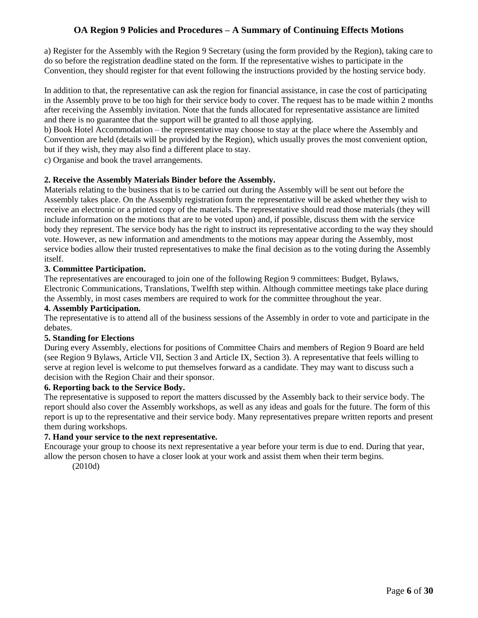a) Register for the Assembly with the Region 9 Secretary (using the form provided by the Region), taking care to do so before the registration deadline stated on the form. If the representative wishes to participate in the Convention, they should register for that event following the instructions provided by the hosting service body.

In addition to that, the representative can ask the region for financial assistance, in case the cost of participating in the Assembly prove to be too high for their service body to cover. The request has to be made within 2 months after receiving the Assembly invitation. Note that the funds allocated for representative assistance are limited and there is no guarantee that the support will be granted to all those applying.

b) Book Hotel Accommodation – the representative may choose to stay at the place where the Assembly and Convention are held (details will be provided by the Region), which usually proves the most convenient option, but if they wish, they may also find a different place to stay.

c) Organise and book the travel arrangements.

## **2. Receive the Assembly Materials Binder before the Assembly.**

Materials relating to the business that is to be carried out during the Assembly will be sent out before the Assembly takes place. On the Assembly registration form the representative will be asked whether they wish to receive an electronic or a printed copy of the materials. The representative should read those materials (they will include information on the motions that are to be voted upon) and, if possible, discuss them with the service body they represent. The service body has the right to instruct its representative according to the way they should vote. However, as new information and amendments to the motions may appear during the Assembly, most service bodies allow their trusted representatives to make the final decision as to the voting during the Assembly itself.

## **3. Committee Participation.**

The representatives are encouraged to join one of the following Region 9 committees: Budget, Bylaws, Electronic Communications, Translations, Twelfth step within. Although committee meetings take place during the Assembly, in most cases members are required to work for the committee throughout the year.

## **4. Assembly Participation.**

The representative is to attend all of the business sessions of the Assembly in order to vote and participate in the debates.

## **5. Standing for Elections**

During every Assembly, elections for positions of Committee Chairs and members of Region 9 Board are held (see Region 9 Bylaws, Article VII, Section 3 and Article IX, Section 3). A representative that feels willing to serve at region level is welcome to put themselves forward as a candidate. They may want to discuss such a decision with the Region Chair and their sponsor.

## **6. Reporting back to the Service Body.**

The representative is supposed to report the matters discussed by the Assembly back to their service body. The report should also cover the Assembly workshops, as well as any ideas and goals for the future. The form of this report is up to the representative and their service body. Many representatives prepare written reports and present them during workshops.

## **7. Hand your service to the next representative.**

Encourage your group to choose its next representative a year before your term is due to end. During that year, allow the person chosen to have a closer look at your work and assist them when their term begins.

(2010d)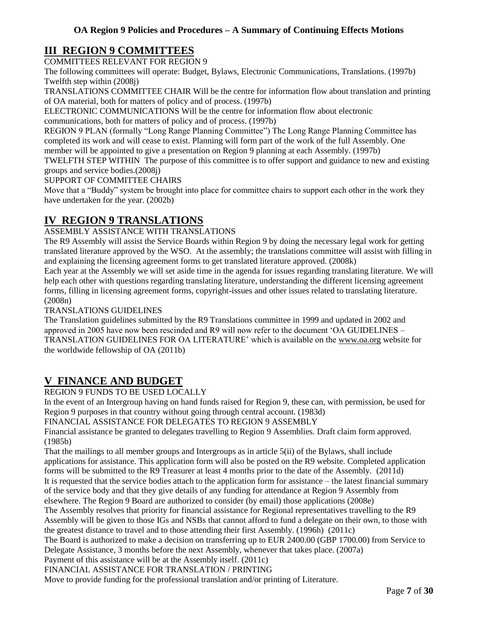## **III REGION 9 COMMITTEES**

COMMITTEES RELEVANT FOR REGION 9

The following committees will operate: Budget, Bylaws, Electronic Communications, Translations. (1997b) Twelfth step within (2008j)

TRANSLATIONS COMMITTEE CHAIR Will be the centre for information flow about translation and printing of OA material, both for matters of policy and of process. (1997b)

ELECTRONIC COMMUNICATIONS Will be the centre for information flow about electronic communications, both for matters of policy and of process. (1997b)

REGION 9 PLAN (formally "Long Range Planning Committee") The Long Range Planning Committee has completed its work and will cease to exist. Planning will form part of the work of the full Assembly. One member will be appointed to give a presentation on Region 9 planning at each Assembly. (1997b)

TWELFTH STEP WITHIN The purpose of this committee is to offer support and guidance to new and existing groups and service bodies.(2008j)

## SUPPORT OF COMMITTEE CHAIRS

Move that a "Buddy" system be brought into place for committee chairs to support each other in the work they have undertaken for the year. (2002b)

## **IV REGION 9 TRANSLATIONS**

## ASSEMBLY ASSISTANCE WITH TRANSLATIONS

The R9 Assembly will assist the Service Boards within Region 9 by doing the necessary legal work for getting translated literature approved by the WSO. At the assembly; the translations committee will assist with filling in and explaining the licensing agreement forms to get translated literature approved. (2008k)

Each year at the Assembly we will set aside time in the agenda for issues regarding translating literature. We will help each other with questions regarding translating literature, understanding the different licensing agreement forms, filling in licensing agreement forms, copyright-issues and other issues related to translating literature. (2008n)

## TRANSLATIONS GUIDELINES

The Translation guidelines submitted by the R9 Translations committee in 1999 and updated in 2002 and approved in 2005 have now been rescinded and R9 will now refer to the document 'OA GUIDELINES – TRANSLATION GUIDELINES FOR OA LITERATURE' which is available on the [www.oa.org](http://www.oa.org/) website for the worldwide fellowship of OA (2011b)

## **V FINANCE AND BUDGET**

## REGION 9 FUNDS TO BE USED LOCALLY

In the event of an Intergroup having on hand funds raised for Region 9, these can, with permission, be used for Region 9 purposes in that country without going through central account. (1983d)

FINANCIAL ASSISTANCE FOR DELEGATES TO REGION 9 ASSEMBLY

Financial assistance be granted to delegates travelling to Region 9 Assemblies. Draft claim form approved. (1985b)

That the mailings to all member groups and Intergroups as in article 5(ii) of the Bylaws, shall include applications for assistance. This application form will also be posted on the R9 website. Completed application forms will be submitted to the R9 Treasurer at least 4 months prior to the date of the Assembly. (2011d) It is requested that the service bodies attach to the application form for assistance – the latest financial summary of the service body and that they give details of any funding for attendance at Region 9 Assembly from elsewhere. The Region 9 Board are authorized to consider (by email) those applications (2008e)

The Assembly resolves that priority for financial assistance for Regional representatives travelling to the R9 Assembly will be given to those IGs and NSBs that cannot afford to fund a delegate on their own, to those with the greatest distance to travel and to those attending their first Assembly. (1996h) (2011c)

The Board is authorized to make a decision on transferring up to EUR 2400.00 (GBP 1700.00) from Service to Delegate Assistance, 3 months before the next Assembly, whenever that takes place. (2007a)

Payment of this assistance will be at the Assembly itself. (2011c)

FINANCIAL ASSISTANCE FOR TRANSLATION / PRINTING

Move to provide funding for the professional translation and/or printing of Literature.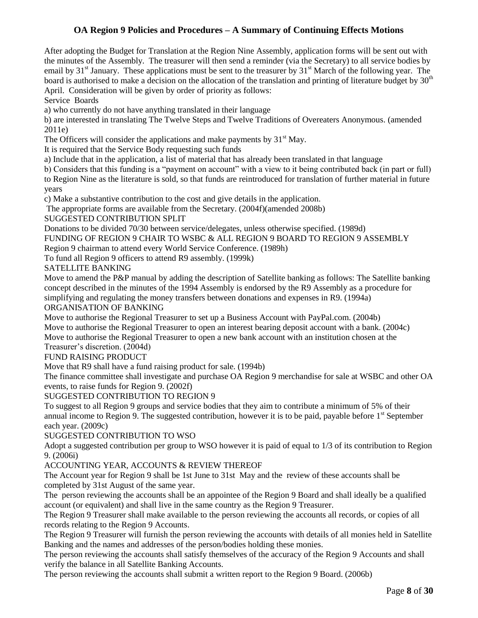After adopting the Budget for Translation at the Region Nine Assembly, application forms will be sent out with the minutes of the Assembly. The treasurer will then send a reminder (via the Secretary) to all service bodies by email by  $31<sup>st</sup>$  January. These applications must be sent to the treasurer by  $31<sup>st</sup>$  March of the following year. The board is authorised to make a decision on the allocation of the translation and printing of literature budget by  $30<sup>th</sup>$ April. Consideration will be given by order of priority as follows:

Service Boards

a) who currently do not have anything translated in their language

b) are interested in translating The Twelve Steps and Twelve Traditions of Overeaters Anonymous. (amended 2011e)

The Officers will consider the applications and make payments by  $31<sup>st</sup>$  May.

It is required that the Service Body requesting such funds

a) Include that in the application, a list of material that has already been translated in that language

b) Considers that this funding is a "payment on account" with a view to it being contributed back (in part or full) to Region Nine as the literature is sold, so that funds are reintroduced for translation of further material in future years

c) Make a substantive contribution to the cost and give details in the application.

The appropriate forms are available from the Secretary. (2004f)(amended 2008b)

SUGGESTED CONTRIBUTION SPLIT

Donations to be divided 70/30 between service/delegates, unless otherwise specified. (1989d)

FUNDING OF REGION 9 CHAIR TO WSBC & ALL REGION 9 BOARD TO REGION 9 ASSEMBLY

Region 9 chairman to attend every World Service Conference. (1989h)

To fund all Region 9 officers to attend R9 assembly. (1999k)

SATELLITE BANKING

Move to amend the P&P manual by adding the description of Satellite banking as follows: The Satellite banking concept described in the minutes of the 1994 Assembly is endorsed by the R9 Assembly as a procedure for simplifying and regulating the money transfers between donations and expenses in R9. (1994a)

ORGANISATION OF BANKING

Move to authorise the Regional Treasurer to set up a Business Account with PayPal.com. (2004b) Move to authorise the Regional Treasurer to open an interest bearing deposit account with a bank. (2004c) Move to authorise the Regional Treasurer to open a new bank account with an institution chosen at the

Treasurer's discretion. (2004d)

FUND RAISING PRODUCT

Move that R9 shall have a fund raising product for sale. (1994b)

The finance committee shall investigate and purchase OA Region 9 merchandise for sale at WSBC and other OA events, to raise funds for Region 9. (2002f)

SUGGESTED CONTRIBUTION TO REGION 9

To suggest to all Region 9 groups and service bodies that they aim to contribute a minimum of 5% of their annual income to Region 9. The suggested contribution, however it is to be paid, payable before  $1<sup>st</sup>$  September each year. (2009c)

SUGGESTED CONTRIBUTION TO WSO

Adopt a suggested contribution per group to WSO however it is paid of equal to 1/3 of its contribution to Region 9. (2006i)

## ACCOUNTING YEAR, ACCOUNTS & REVIEW THEREOF

The Account year for Region 9 shall be 1st June to 31st May and the review of these accounts shall be completed by 31st August of the same year.

The person reviewing the accounts shall be an appointee of the Region 9 Board and shall ideally be a qualified account (or equivalent) and shall live in the same country as the Region 9 Treasurer.

The Region 9 Treasurer shall make available to the person reviewing the accounts all records, or copies of all records relating to the Region 9 Accounts.

The Region 9 Treasurer will furnish the person reviewing the accounts with details of all monies held in Satellite Banking and the names and addresses of the person/bodies holding these monies.

The person reviewing the accounts shall satisfy themselves of the accuracy of the Region 9 Accounts and shall verify the balance in all Satellite Banking Accounts.

The person reviewing the accounts shall submit a written report to the Region 9 Board. (2006b)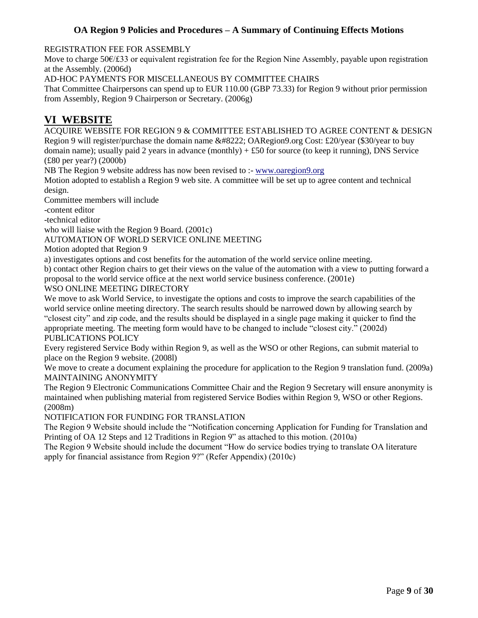REGISTRATION FEE FOR ASSEMBLY

Move to charge 50€/£33 or equivalent registration fee for the Region Nine Assembly, payable upon registration at the Assembly. (2006d)

AD-HOC PAYMENTS FOR MISCELLANEOUS BY COMMITTEE CHAIRS

That Committee Chairpersons can spend up to EUR 110.00 (GBP 73.33) for Region 9 without prior permission from Assembly, Region 9 Chairperson or Secretary. (2006g)

## **VI WEBSITE**

ACQUIRE WEBSITE FOR REGION 9 & COMMITTEE ESTABLISHED TO AGREE CONTENT & DESIGN Region 9 will register/purchase the domain name  $\&\#8222$ ; OARegion9.org Cost: £20/year (\$30/year to buy domain name); usually paid 2 years in advance (monthly)  $+ £50$  for source (to keep it running), DNS Service (£80 per year?) (2000b)

NB The Region 9 website address has now been revised to :- [www.oaregion9.org](http://www.oaregion9.org/)

Motion adopted to establish a Region 9 web site. A committee will be set up to agree content and technical design.

Committee members will include

-content editor

-technical editor

who will liaise with the Region 9 Board. (2001c)

## AUTOMATION OF WORLD SERVICE ONLINE MEETING

Motion adopted that Region 9

a) investigates options and cost benefits for the automation of the world service online meeting.

b) contact other Region chairs to get their views on the value of the automation with a view to putting forward a proposal to the world service office at the next world service business conference. (2001e)

## WSO ONLINE MEETING DIRECTORY

We move to ask World Service, to investigate the options and costs to improve the search capabilities of the world service online meeting directory. The search results should be narrowed down by allowing search by "closest city" and zip code, and the results should be displayed in a single page making it quicker to find the appropriate meeting. The meeting form would have to be changed to include "closest city." (2002d) PUBLICATIONS POLICY

Every registered Service Body within Region 9, as well as the WSO or other Regions, can submit material to place on the Region 9 website. (2008l)

We move to create a document explaining the procedure for application to the Region 9 translation fund. (2009a) MAINTAINING ANONYMITY

The Region 9 Electronic Communications Committee Chair and the Region 9 Secretary will ensure anonymity is maintained when publishing material from registered Service Bodies within Region 9, WSO or other Regions. (2008m)

NOTIFICATION FOR FUNDING FOR TRANSLATION

The Region 9 Website should include the "Notification concerning Application for Funding for Translation and Printing of OA 12 Steps and 12 Traditions in Region 9" as attached to this motion. (2010a)

The Region 9 Website should include the document "How do service bodies trying to translate OA literature apply for financial assistance from Region 9?" (Refer Appendix) (2010c)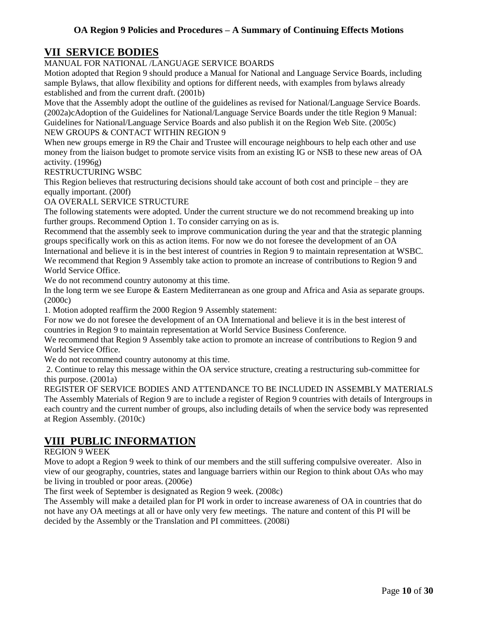## **VII SERVICE BODIES**

## MANUAL FOR NATIONAL /LANGUAGE SERVICE BOARDS

Motion adopted that Region 9 should produce a Manual for National and Language Service Boards, including sample Bylaws, that allow flexibility and options for different needs, with examples from bylaws already established and from the current draft. (2001b)

Move that the Assembly adopt the outline of the guidelines as revised for National/Language Service Boards. (2002a)cAdoption of the Guidelines for National/Language Service Boards under the title Region 9 Manual: Guidelines for National/Language Service Boards and also publish it on the Region Web Site. (2005c) NEW GROUPS & CONTACT WITHIN REGION 9

When new groups emerge in R9 the Chair and Trustee will encourage neighbours to help each other and use money from the liaison budget to promote service visits from an existing IG or NSB to these new areas of OA activity. (1996g)

RESTRUCTURING WSBC

This Region believes that restructuring decisions should take account of both cost and principle – they are equally important. (200f)

OA OVERALL SERVICE STRUCTURE

The following statements were adopted. Under the current structure we do not recommend breaking up into further groups. Recommend Option 1. To consider carrying on as is.

Recommend that the assembly seek to improve communication during the year and that the strategic planning groups specifically work on this as action items. For now we do not foresee the development of an OA International and believe it is in the best interest of countries in Region 9 to maintain representation at WSBC. We recommend that Region 9 Assembly take action to promote an increase of contributions to Region 9 and World Service Office.

We do not recommend country autonomy at this time.

In the long term we see Europe & Eastern Mediterranean as one group and Africa and Asia as separate groups. (2000c)

1. Motion adopted reaffirm the 2000 Region 9 Assembly statement:

For now we do not foresee the development of an OA International and believe it is in the best interest of countries in Region 9 to maintain representation at World Service Business Conference.

We recommend that Region 9 Assembly take action to promote an increase of contributions to Region 9 and World Service Office.

We do not recommend country autonomy at this time.

2. Continue to relay this message within the OA service structure, creating a restructuring sub-committee for this purpose. (2001a)

REGISTER OF SERVICE BODIES AND ATTENDANCE TO BE INCLUDED IN ASSEMBLY MATERIALS The Assembly Materials of Region 9 are to include a register of Region 9 countries with details of Intergroups in each country and the current number of groups, also including details of when the service body was represented at Region Assembly. (2010c)

## **VIII PUBLIC INFORMATION**

## REGION 9 WEEK

Move to adopt a Region 9 week to think of our members and the still suffering compulsive overeater. Also in view of our geography, countries, states and language barriers within our Region to think about OAs who may be living in troubled or poor areas. (2006e)

The first week of September is designated as Region 9 week. (2008c)

The Assembly will make a detailed plan for PI work in order to increase awareness of OA in countries that do not have any OA meetings at all or have only very few meetings. The nature and content of this PI will be decided by the Assembly or the Translation and PI committees. (2008i)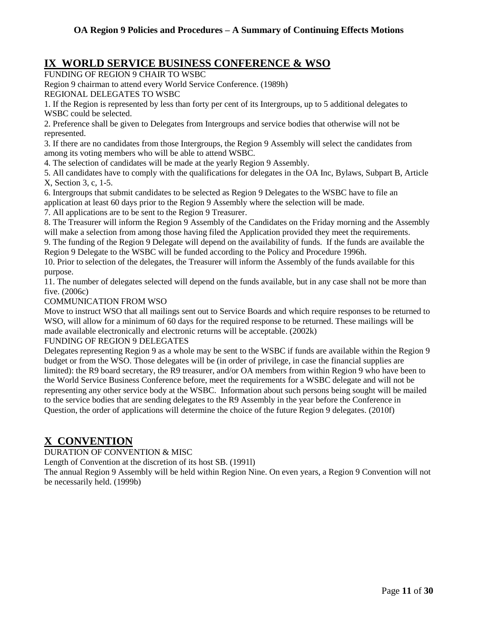## **IX WORLD SERVICE BUSINESS CONFERENCE & WSO**

FUNDING OF REGION 9 CHAIR TO WSBC

Region 9 chairman to attend every World Service Conference. (1989h)

REGIONAL DELEGATES TO WSBC

1. If the Region is represented by less than forty per cent of its Intergroups, up to 5 additional delegates to WSBC could be selected.

2. Preference shall be given to Delegates from Intergroups and service bodies that otherwise will not be represented.

3. If there are no candidates from those Intergroups, the Region 9 Assembly will select the candidates from among its voting members who will be able to attend WSBC.

4. The selection of candidates will be made at the yearly Region 9 Assembly.

5. All candidates have to comply with the qualifications for delegates in the OA Inc, Bylaws, Subpart B, Article X, Section 3, c, 1-5.

6. Intergroups that submit candidates to be selected as Region 9 Delegates to the WSBC have to file an application at least 60 days prior to the Region 9 Assembly where the selection will be made.

7. All applications are to be sent to the Region 9 Treasurer.

8. The Treasurer will inform the Region 9 Assembly of the Candidates on the Friday morning and the Assembly will make a selection from among those having filed the Application provided they meet the requirements.

9. The funding of the Region 9 Delegate will depend on the availability of funds. If the funds are available the Region 9 Delegate to the WSBC will be funded according to the Policy and Procedure 1996h.

10. Prior to selection of the delegates, the Treasurer will inform the Assembly of the funds available for this purpose.

11. The number of delegates selected will depend on the funds available, but in any case shall not be more than five. (2006c)

## COMMUNICATION FROM WSO

Move to instruct WSO that all mailings sent out to Service Boards and which require responses to be returned to WSO, will allow for a minimum of 60 days for the required response to be returned. These mailings will be made available electronically and electronic returns will be acceptable. (2002k)

## FUNDING OF REGION 9 DELEGATES

Delegates representing Region 9 as a whole may be sent to the WSBC if funds are available within the Region 9 budget or from the WSO. Those delegates will be (in order of privilege, in case the financial supplies are limited): the R9 board secretary, the R9 treasurer, and/or OA members from within Region 9 who have been to the World Service Business Conference before, meet the requirements for a WSBC delegate and will not be representing any other service body at the WSBC. Information about such persons being sought will be mailed to the service bodies that are sending delegates to the R9 Assembly in the year before the Conference in Question, the order of applications will determine the choice of the future Region 9 delegates. (2010f)

## **X CONVENTION**

DURATION OF CONVENTION & MISC

Length of Convention at the discretion of its host SB. (1991l)

The annual Region 9 Assembly will be held within Region Nine. On even years, a Region 9 Convention will not be necessarily held. (1999b)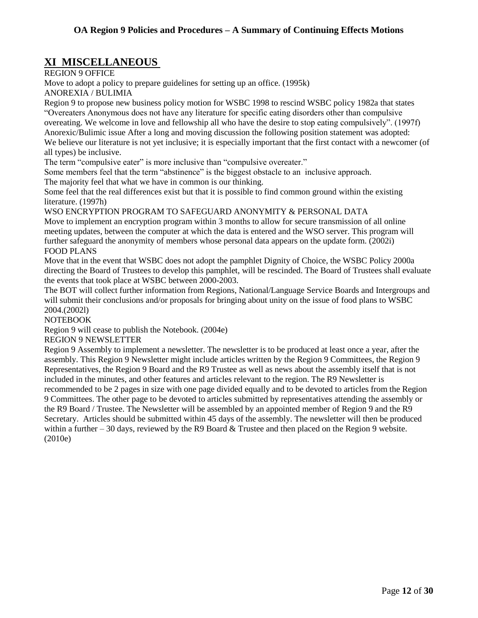## **XI MISCELLANEOUS**

REGION 9 OFFICE

Move to adopt a policy to prepare guidelines for setting up an office. (1995k)

ANOREXIA / BULIMIA

Region 9 to propose new business policy motion for WSBC 1998 to rescind WSBC policy 1982a that states "Overeaters Anonymous does not have any literature for specific eating disorders other than compulsive overeating. We welcome in love and fellowship all who have the desire to stop eating compulsively". (1997f) Anorexic/Bulimic issue After a long and moving discussion the following position statement was adopted: We believe our literature is not yet inclusive; it is especially important that the first contact with a newcomer (of all types) be inclusive.

The term "compulsive eater" is more inclusive than "compulsive overeater."

Some members feel that the term "abstinence" is the biggest obstacle to an inclusive approach.

The majority feel that what we have in common is our thinking.

Some feel that the real differences exist but that it is possible to find common ground within the existing literature. (1997h)

WSO ENCRYPTION PROGRAM TO SAFEGUARD ANONYMITY & PERSONAL DATA

Move to implement an encryption program within 3 months to allow for secure transmission of all online meeting updates, between the computer at which the data is entered and the WSO server. This program will further safeguard the anonymity of members whose personal data appears on the update form. (2002i) FOOD PLANS

Move that in the event that WSBC does not adopt the pamphlet Dignity of Choice, the WSBC Policy 2000a directing the Board of Trustees to develop this pamphlet, will be rescinded. The Board of Trustees shall evaluate the events that took place at WSBC between 2000-2003.

The BOT will collect further information from Regions, National/Language Service Boards and Intergroups and will submit their conclusions and/or proposals for bringing about unity on the issue of food plans to WSBC 2004.(2002l)

## NOTEBOOK

Region 9 will cease to publish the Notebook. (2004e)

## REGION 9 NEWSLETTER

Region 9 Assembly to implement a newsletter. The newsletter is to be produced at least once a year, after the assembly. This Region 9 Newsletter might include articles written by the Region 9 Committees, the Region 9 Representatives, the Region 9 Board and the R9 Trustee as well as news about the assembly itself that is not included in the minutes, and other features and articles relevant to the region. The R9 Newsletter is recommended to be 2 pages in size with one page divided equally and to be devoted to articles from the Region 9 Committees. The other page to be devoted to articles submitted by representatives attending the assembly or the R9 Board / Trustee. The Newsletter will be assembled by an appointed member of Region 9 and the R9 Secretary. Articles should be submitted within 45 days of the assembly. The newsletter will then be produced within a further  $-30$  days, reviewed by the R9 Board  $\&$  Trustee and then placed on the Region 9 website. (2010e)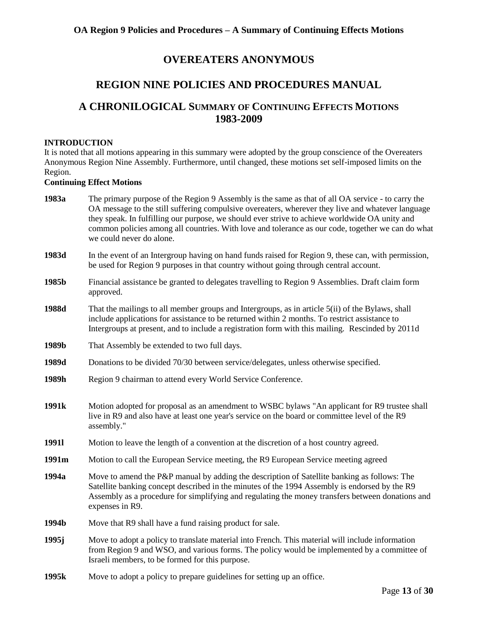## **OVEREATERS ANONYMOUS**

## **REGION NINE POLICIES AND PROCEDURES MANUAL**

## **A CHRONILOGICAL SUMMARY OF CONTINUING EFFECTS MOTIONS 1983-2009**

## **INTRODUCTION**

It is noted that all motions appearing in this summary were adopted by the group conscience of the Overeaters Anonymous Region Nine Assembly. Furthermore, until changed, these motions set self-imposed limits on the Region.

#### **Continuing Effect Motions**

| 1983a             | The primary purpose of the Region 9 Assembly is the same as that of all OA service - to carry the<br>OA message to the still suffering compulsive overeaters, wherever they live and whatever language<br>they speak. In fulfilling our purpose, we should ever strive to achieve worldwide OA unity and<br>common policies among all countries. With love and tolerance as our code, together we can do what<br>we could never do alone. |  |
|-------------------|-------------------------------------------------------------------------------------------------------------------------------------------------------------------------------------------------------------------------------------------------------------------------------------------------------------------------------------------------------------------------------------------------------------------------------------------|--|
| 1983d             | In the event of an Intergroup having on hand funds raised for Region 9, these can, with permission,<br>be used for Region 9 purposes in that country without going through central account.                                                                                                                                                                                                                                               |  |
| 1985b             | Financial assistance be granted to delegates travelling to Region 9 Assemblies. Draft claim form<br>approved.                                                                                                                                                                                                                                                                                                                             |  |
| 1988d             | That the mailings to all member groups and Intergroups, as in article 5(ii) of the Bylaws, shall<br>include applications for assistance to be returned within 2 months. To restrict assistance to<br>Intergroups at present, and to include a registration form with this mailing. Rescinded by 2011d                                                                                                                                     |  |
| 1989b             | That Assembly be extended to two full days.                                                                                                                                                                                                                                                                                                                                                                                               |  |
| 1989d             | Donations to be divided 70/30 between service/delegates, unless otherwise specified.                                                                                                                                                                                                                                                                                                                                                      |  |
| 1989h             | Region 9 chairman to attend every World Service Conference.                                                                                                                                                                                                                                                                                                                                                                               |  |
| 1991 <sub>k</sub> | Motion adopted for proposal as an amendment to WSBC bylaws "An applicant for R9 trustee shall<br>live in R9 and also have at least one year's service on the board or committee level of the R9<br>assembly."                                                                                                                                                                                                                             |  |
| <b>19911</b>      | Motion to leave the length of a convention at the discretion of a host country agreed.                                                                                                                                                                                                                                                                                                                                                    |  |
| 1991m             | Motion to call the European Service meeting, the R9 European Service meeting agreed                                                                                                                                                                                                                                                                                                                                                       |  |
| 1994a             | Move to amend the P&P manual by adding the description of Satellite banking as follows: The<br>Satellite banking concept described in the minutes of the 1994 Assembly is endorsed by the R9<br>Assembly as a procedure for simplifying and regulating the money transfers between donations and                                                                                                                                          |  |
|                   | expenses in R9.                                                                                                                                                                                                                                                                                                                                                                                                                           |  |
| 1994b             | Move that R9 shall have a fund raising product for sale.                                                                                                                                                                                                                                                                                                                                                                                  |  |
| 1995j             | Move to adopt a policy to translate material into French. This material will include information<br>from Region 9 and WSO, and various forms. The policy would be implemented by a committee of<br>Israeli members, to be formed for this purpose.                                                                                                                                                                                        |  |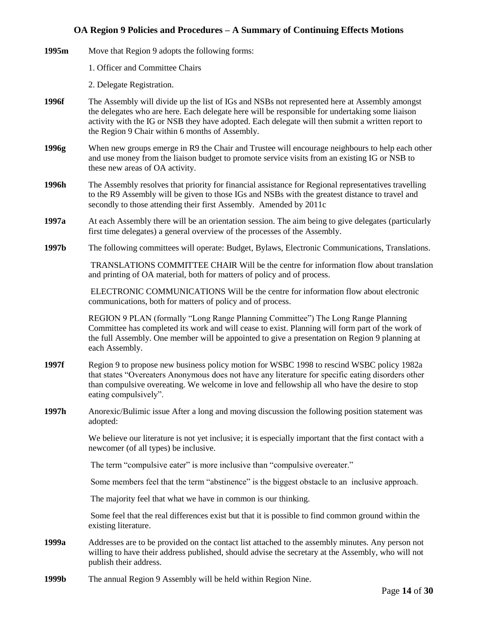- **1995m** Move that Region 9 adopts the following forms:
	- 1. Officer and Committee Chairs
	- 2. Delegate Registration.
- **1996f** The Assembly will divide up the list of IGs and NSBs not represented here at Assembly amongst the delegates who are here. Each delegate here will be responsible for undertaking some liaison activity with the IG or NSB they have adopted. Each delegate will then submit a written report to the Region 9 Chair within 6 months of Assembly.
- **1996g** When new groups emerge in R9 the Chair and Trustee will encourage neighbours to help each other and use money from the liaison budget to promote service visits from an existing IG or NSB to these new areas of OA activity.
- **1996h** The Assembly resolves that priority for financial assistance for Regional representatives travelling to the R9 Assembly will be given to those IGs and NSBs with the greatest distance to travel and secondly to those attending their first Assembly. Amended by 2011c
- **1997a** At each Assembly there will be an orientation session. The aim being to give delegates (particularly first time delegates) a general overview of the processes of the Assembly.
- **1997b** The following committees will operate: Budget, Bylaws, Electronic Communications, Translations.

TRANSLATIONS COMMITTEE CHAIR Will be the centre for information flow about translation and printing of OA material, both for matters of policy and of process.

ELECTRONIC COMMUNICATIONS Will be the centre for information flow about electronic communications, both for matters of policy and of process.

REGION 9 PLAN (formally "Long Range Planning Committee") The Long Range Planning Committee has completed its work and will cease to exist. Planning will form part of the work of the full Assembly. One member will be appointed to give a presentation on Region 9 planning at each Assembly.

- **1997f** Region 9 to propose new business policy motion for WSBC 1998 to rescind WSBC policy 1982a that states "Overeaters Anonymous does not have any literature for specific eating disorders other than compulsive overeating. We welcome in love and fellowship all who have the desire to stop eating compulsively".
- **1997h** Anorexic/Bulimic issue After a long and moving discussion the following position statement was adopted:

We believe our literature is not yet inclusive; it is especially important that the first contact with a newcomer (of all types) be inclusive.

The term "compulsive eater" is more inclusive than "compulsive overeater."

Some members feel that the term "abstinence" is the biggest obstacle to an inclusive approach.

The majority feel that what we have in common is our thinking.

Some feel that the real differences exist but that it is possible to find common ground within the existing literature.

- **1999a** Addresses are to be provided on the contact list attached to the assembly minutes. Any person not willing to have their address published, should advise the secretary at the Assembly, who will not publish their address.
- **1999b** The annual Region 9 Assembly will be held within Region Nine.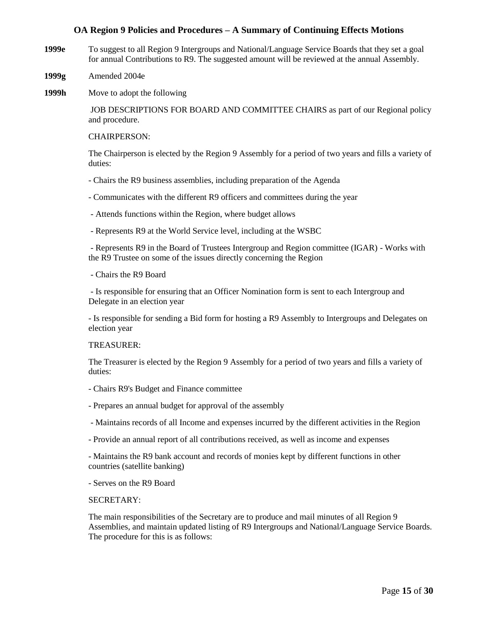- **1999e** To suggest to all Region 9 Intergroups and National/Language Service Boards that they set a goal for annual Contributions to R9. The suggested amount will be reviewed at the annual Assembly.
- **1999g** Amended 2004e
- **1999h** Move to adopt the following

JOB DESCRIPTIONS FOR BOARD AND COMMITTEE CHAIRS as part of our Regional policy and procedure.

#### CHAIRPERSON:

The Chairperson is elected by the Region 9 Assembly for a period of two years and fills a variety of duties:

- Chairs the R9 business assemblies, including preparation of the Agenda
- Communicates with the different R9 officers and committees during the year
- Attends functions within the Region, where budget allows
- Represents R9 at the World Service level, including at the WSBC

- Represents R9 in the Board of Trustees Intergroup and Region committee (IGAR) - Works with the R9 Trustee on some of the issues directly concerning the Region

- Chairs the R9 Board

- Is responsible for ensuring that an Officer Nomination form is sent to each Intergroup and Delegate in an election year

- Is responsible for sending a Bid form for hosting a R9 Assembly to Intergroups and Delegates on election year

#### TREASURER:

The Treasurer is elected by the Region 9 Assembly for a period of two years and fills a variety of duties:

- Chairs R9's Budget and Finance committee
- Prepares an annual budget for approval of the assembly
- Maintains records of all Income and expenses incurred by the different activities in the Region
- Provide an annual report of all contributions received, as well as income and expenses

- Maintains the R9 bank account and records of monies kept by different functions in other countries (satellite banking)

- Serves on the R9 Board

#### SECRETARY:

The main responsibilities of the Secretary are to produce and mail minutes of all Region 9 Assemblies, and maintain updated listing of R9 Intergroups and National/Language Service Boards. The procedure for this is as follows: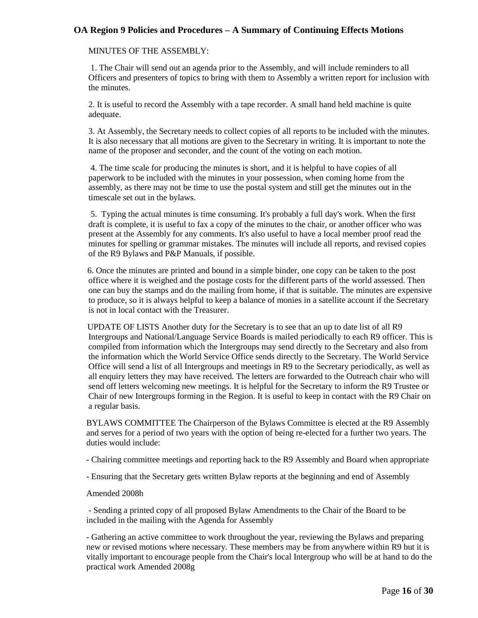### MINUTES OF THE ASSEMBLY:

1. The Chair will send out an agenda prior to the Assembly, and will include reminders to all Officers and presenters of topics to bring with them to Assembly a written report for inclusion with the minutes.

2. It is useful to record the Assembly with a tape recorder. A small hand held machine is quite adequate.

3. At Assembly, the Secretary needs to collect copies of all reports to be included with the minutes. It is also necessary that all motions are given to the Secretary in writing. It is important to note the name of the proposer and seconder, and the count of the voting on each motion.

4. The time scale for producing the minutes is short, and it is helpful to have copies of all paperwork to be included with the minutes in your possession, when coming home from the assembly, as there may not be time to use the postal system and still get the minutes out in the timescale set out in the bylaws.

5. Typing the actual minutes is time consuming. It's probably a full day's work. When the first draft is complete, it is useful to fax a copy of the minutes to the chair, or another officer who was present at the Assembly for any comments. It's also useful to have a local member proof read the minutes for spelling or grammar mistakes. The minutes will include all reports, and revised copies of the R9 Bylaws and P&P Manuals, if possible.

 6. Once the minutes are printed and bound in a simple binder, one copy can be taken to the post office where it is weighed and the postage costs for the different parts of the world assessed. Then one can buy the stamps and do the mailing from home, if that is suitable. The minutes are expensive to produce, so it is always helpful to keep a balance of monies in a satellite account if the Secretary is not in local contact with the Treasurer.

 UPDATE OF LISTS Another duty for the Secretary is to see that an up to date list of all R9 Intergroups and National/Language Service Boards is mailed periodically to each R9 officer. This is compiled from information which the Intergroups may send directly to the Secretary and also from the information which the World Service Office sends directly to the Secretary. The World Service Office will send a list of all Intergroups and meetings in R9 to the Secretary periodically, as well as all enquiry letters they may have received. The letters are forwarded to the Outreach chair who will send off letters welcoming new meetings. It is helpful for the Secretary to inform the R9 Trustee or Chair of new Intergroups forming in the Region. It is useful to keep in contact with the R9 Chair on a regular basis.

BYLAWS COMMITTEE The Chairperson of the Bylaws Committee is elected at the R9 Assembly and serves for a period of two years with the option of being re-elected for a further two years. The duties would include:

- Chairing committee meetings and reporting back to the R9 Assembly and Board when appropriate

- Ensuring that the Secretary gets written Bylaw reports at the beginning and end of Assembly

#### Amended 2008h

- Sending a printed copy of all proposed Bylaw Amendments to the Chair of the Board to be included in the mailing with the Agenda for Assembly

- Gathering an active committee to work throughout the year, reviewing the Bylaws and preparing new or revised motions where necessary. These members may be from anywhere within R9 but it is vitally important to encourage people from the Chair's local Intergroup who will be at hand to do the practical work Amended 2008g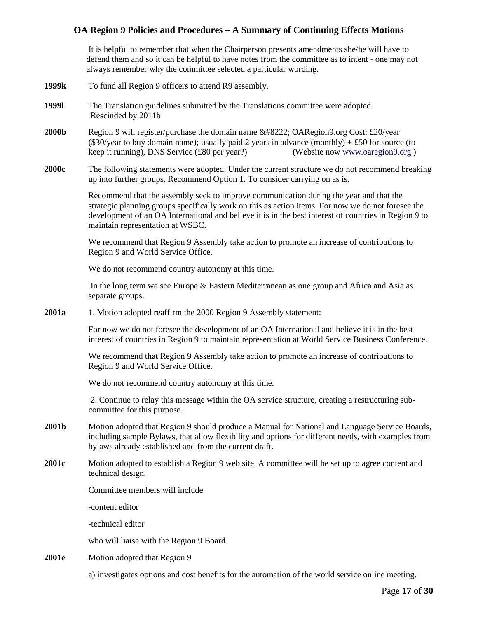It is helpful to remember that when the Chairperson presents amendments she/he will have to defend them and so it can be helpful to have notes from the committee as to intent - one may not always remember why the committee selected a particular wording.

- **1999k** To fund all Region 9 officers to attend R9 assembly.
- **1999l** The Translation guidelines submitted by the Translations committee were adopted. Rescinded by 2011b
- **2000b** Region 9 will register/purchase the domain name " OARegion9.org Cost: £20/year  $(\$30/year$  to buy domain name); usually paid 2 years in advance (monthly) + £50 for source (to keep it running), DNS Service (£80 per year?) **(**Website no[w www.oaregion9.org](http://www.oaregion9.org/) )
- **2000c** The following statements were adopted. Under the current structure we do not recommend breaking up into further groups. Recommend Option 1. To consider carrying on as is.

Recommend that the assembly seek to improve communication during the year and that the strategic planning groups specifically work on this as action items. For now we do not foresee the development of an OA International and believe it is in the best interest of countries in Region 9 to maintain representation at WSBC.

We recommend that Region 9 Assembly take action to promote an increase of contributions to Region 9 and World Service Office.

We do not recommend country autonomy at this time.

In the long term we see Europe & Eastern Mediterranean as one group and Africa and Asia as separate groups.

**2001a** 1. Motion adopted reaffirm the 2000 Region 9 Assembly statement:

For now we do not foresee the development of an OA International and believe it is in the best interest of countries in Region 9 to maintain representation at World Service Business Conference.

We recommend that Region 9 Assembly take action to promote an increase of contributions to Region 9 and World Service Office.

We do not recommend country autonomy at this time.

2. Continue to relay this message within the OA service structure, creating a restructuring subcommittee for this purpose.

- **2001b** Motion adopted that Region 9 should produce a Manual for National and Language Service Boards, including sample Bylaws, that allow flexibility and options for different needs, with examples from bylaws already established and from the current draft.
- **2001c** Motion adopted to establish a Region 9 web site. A committee will be set up to agree content and technical design.

Committee members will include

-content editor

-technical editor

who will liaise with the Region 9 Board.

**2001e** Motion adopted that Region 9

a) investigates options and cost benefits for the automation of the world service online meeting.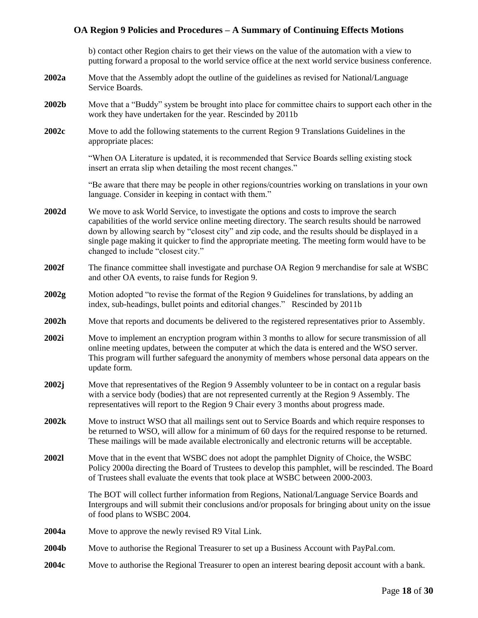b) contact other Region chairs to get their views on the value of the automation with a view to putting forward a proposal to the world service office at the next world service business conference.

- **2002a** Move that the Assembly adopt the outline of the guidelines as revised for National/Language Service Boards.
- **2002b** Move that a "Buddy" system be brought into place for committee chairs to support each other in the work they have undertaken for the year. Rescinded by 2011b
- **2002c** Move to add the following statements to the current Region 9 Translations Guidelines in the appropriate places:

"When OA Literature is updated, it is recommended that Service Boards selling existing stock insert an errata slip when detailing the most recent changes."

"Be aware that there may be people in other regions/countries working on translations in your own language. Consider in keeping in contact with them."

- **2002d** We move to ask World Service, to investigate the options and costs to improve the search capabilities of the world service online meeting directory. The search results should be narrowed down by allowing search by "closest city" and zip code, and the results should be displayed in a single page making it quicker to find the appropriate meeting. The meeting form would have to be changed to include "closest city."
- **2002f** The finance committee shall investigate and purchase OA Region 9 merchandise for sale at WSBC and other OA events, to raise funds for Region 9.
- **2002g** Motion adopted "to revise the format of the Region 9 Guidelines for translations, by adding an index, sub-headings, bullet points and editorial changes." Rescinded by 2011b
- **2002h** Move that reports and documents be delivered to the registered representatives prior to Assembly.
- **2002i** Move to implement an encryption program within 3 months to allow for secure transmission of all online meeting updates, between the computer at which the data is entered and the WSO server. This program will further safeguard the anonymity of members whose personal data appears on the update form.
- **2002j** Move that representatives of the Region 9 Assembly volunteer to be in contact on a regular basis with a service body (bodies) that are not represented currently at the Region 9 Assembly. The representatives will report to the Region 9 Chair every 3 months about progress made.
- **2002k** Move to instruct WSO that all mailings sent out to Service Boards and which require responses to be returned to WSO, will allow for a minimum of 60 days for the required response to be returned. These mailings will be made available electronically and electronic returns will be acceptable.
- **2002l** Move that in the event that WSBC does not adopt the pamphlet Dignity of Choice, the WSBC Policy 2000a directing the Board of Trustees to develop this pamphlet, will be rescinded. The Board of Trustees shall evaluate the events that took place at WSBC between 2000-2003.

The BOT will collect further information from Regions, National/Language Service Boards and Intergroups and will submit their conclusions and/or proposals for bringing about unity on the issue of food plans to WSBC 2004.

- **2004a** Move to approve the newly revised R9 Vital Link.
- **2004b** Move to authorise the Regional Treasurer to set up a Business Account with PayPal.com.
- **2004c** Move to authorise the Regional Treasurer to open an interest bearing deposit account with a bank.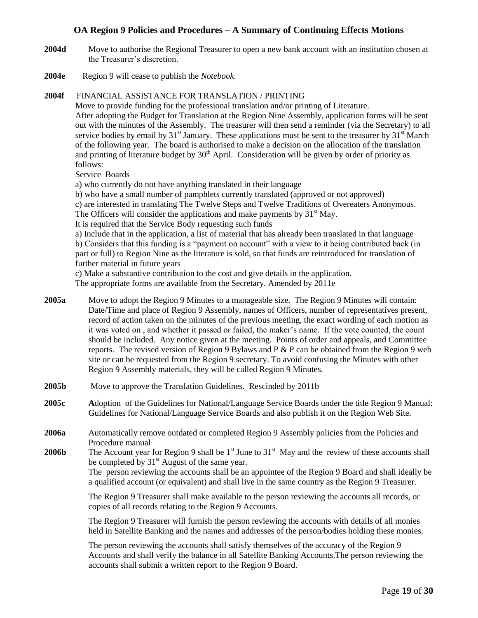- **2004d** Move to authorise the Regional Treasurer to open a new bank account with an institution chosen at the Treasurer's discretion.
- **2004e** Region 9 will cease to publish the *Notebook*.

## **2004f** FINANCIAL ASSISTANCE FOR TRANSLATION / PRINTING

Move to provide funding for the professional translation and/or printing of Literature. After adopting the Budget for Translation at the Region Nine Assembly, application forms will be sent out with the minutes of the Assembly. The treasurer will then send a reminder (via the Secretary) to all service bodies by email by  $31<sup>st</sup>$  January. These applications must be sent to the treasurer by  $31<sup>st</sup>$  March of the following year. The board is authorised to make a decision on the allocation of the translation and printing of literature budget by  $30<sup>th</sup>$  April. Consideration will be given by order of priority as follows:

Service Boards

a) who currently do not have anything translated in their language

b) who have a small number of pamphlets currently translated (approved or not approved)

c) are interested in translating The Twelve Steps and Twelve Traditions of Overeaters Anonymous.

- The Officers will consider the applications and make payments by  $31<sup>st</sup>$  May.
- It is required that the Service Body requesting such funds

a) Include that in the application, a list of material that has already been translated in that language b) Considers that this funding is a "payment on account" with a view to it being contributed back (in part or full) to Region Nine as the literature is sold, so that funds are reintroduced for translation of further material in future years

c) Make a substantive contribution to the cost and give details in the application.

The appropriate forms are available from the Secretary. Amended by 2011e

- **2005a** Move to adopt the Region 9 Minutes to a manageable size. The Region 9 Minutes will contain: Date/Time and place of Region 9 Assembly, names of Officers, number of representatives present, record of action taken on the minutes of the previous meeting, the exact wording of each motion as it was voted on , and whether it passed or failed, the maker's name. If the vote counted, the count should be included. Any notice given at the meeting. Points of order and appeals, and Committee reports. The revised version of Region 9 Bylaws and P & P can be obtained from the Region 9 web site or can be requested from the Region 9 secretary. To avoid confusing the Minutes with other Region 9 Assembly materials, they will be called Region 9 Minutes.
- **2005b** Move to approve the Translation Guidelines. Rescinded by 2011b
- **2005c A**doption of the Guidelines for National/Language Service Boards under the title Region 9 Manual: Guidelines for National/Language Service Boards and also publish it on the Region Web Site.
- **2006a** Automatically remove outdated or completed Region 9 Assembly policies from the Policies and Procedure manual
- **2006b** The Account year for Region 9 shall be  $1<sup>st</sup>$  June to  $31<sup>st</sup>$  May and the review of these accounts shall be completed by  $31<sup>st</sup>$  August of the same year.

The person reviewing the accounts shall be an appointee of the Region 9 Board and shall ideally be a qualified account (or equivalent) and shall live in the same country as the Region 9 Treasurer.

The Region 9 Treasurer shall make available to the person reviewing the accounts all records, or copies of all records relating to the Region 9 Accounts.

The Region 9 Treasurer will furnish the person reviewing the accounts with details of all monies held in Satellite Banking and the names and addresses of the person/bodies holding these monies.

The person reviewing the accounts shall satisfy themselves of the accuracy of the Region 9 Accounts and shall verify the balance in all Satellite Banking Accounts.The person reviewing the accounts shall submit a written report to the Region 9 Board.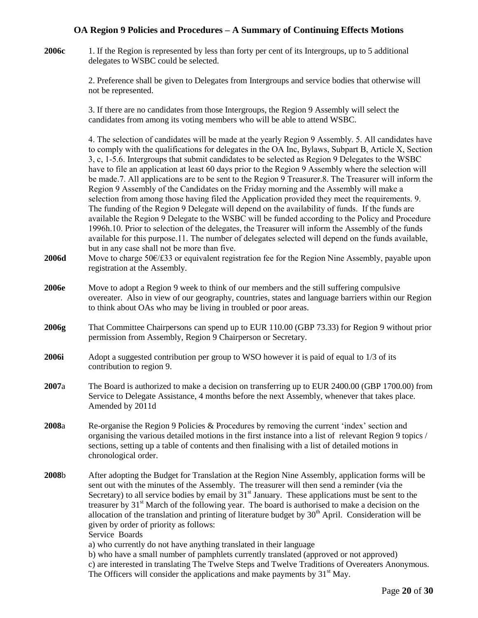**2006c** 1. If the Region is represented by less than forty per cent of its Intergroups, up to 5 additional delegates to WSBC could be selected.

> 2. Preference shall be given to Delegates from Intergroups and service bodies that otherwise will not be represented.

3. If there are no candidates from those Intergroups, the Region 9 Assembly will select the candidates from among its voting members who will be able to attend WSBC.

4. The selection of candidates will be made at the yearly Region 9 Assembly. 5. All candidates have to comply with the qualifications for delegates in the OA Inc, Bylaws, Subpart B, Article X, Section 3, c, 1-5.6. Intergroups that submit candidates to be selected as Region 9 Delegates to the WSBC have to file an application at least 60 days prior to the Region 9 Assembly where the selection will be made.7. All applications are to be sent to the Region 9 Treasurer.8. The Treasurer will inform the Region 9 Assembly of the Candidates on the Friday morning and the Assembly will make a selection from among those having filed the Application provided they meet the requirements. 9. The funding of the Region 9 Delegate will depend on the availability of funds. If the funds are available the Region 9 Delegate to the WSBC will be funded according to the Policy and Procedure 1996h.10. Prior to selection of the delegates, the Treasurer will inform the Assembly of the funds available for this purpose.11. The number of delegates selected will depend on the funds available, but in any case shall not be more than five.

- **2006d** Move to charge 50€/£33 or equivalent registration fee for the Region Nine Assembly, payable upon registration at the Assembly.
- **2006e** Move to adopt a Region 9 week to think of our members and the still suffering compulsive overeater. Also in view of our geography, countries, states and language barriers within our Region to think about OAs who may be living in troubled or poor areas.
- **2006g** That Committee Chairpersons can spend up to EUR 110.00 (GBP 73.33) for Region 9 without prior permission from Assembly, Region 9 Chairperson or Secretary.
- **2006i** Adopt a suggested contribution per group to WSO however it is paid of equal to 1/3 of its contribution to region 9.
- **2007**a The Board is authorized to make a decision on transferring up to EUR 2400.00 (GBP 1700.00) from Service to Delegate Assistance, 4 months before the next Assembly, whenever that takes place. Amended by 2011d
- **2008**a Re-organise the Region 9 Policies & Procedures by removing the current 'index' section and organising the various detailed motions in the first instance into a list of relevant Region 9 topics / sections, setting up a table of contents and then finalising with a list of detailed motions in chronological order.
- **2008**b After adopting the Budget for Translation at the Region Nine Assembly, application forms will be sent out with the minutes of the Assembly. The treasurer will then send a reminder (via the Secretary) to all service bodies by email by  $31<sup>st</sup>$  January. These applications must be sent to the treasurer by  $31<sup>st</sup>$  March of the following year. The board is authorised to make a decision on the allocation of the translation and printing of literature budget by  $30<sup>th</sup>$  April. Consideration will be given by order of priority as follows: Service Boards

a) who currently do not have anything translated in their language

b) who have a small number of pamphlets currently translated (approved or not approved) c) are interested in translating The Twelve Steps and Twelve Traditions of Overeaters Anonymous. The Officers will consider the applications and make payments by  $31<sup>st</sup>$  May.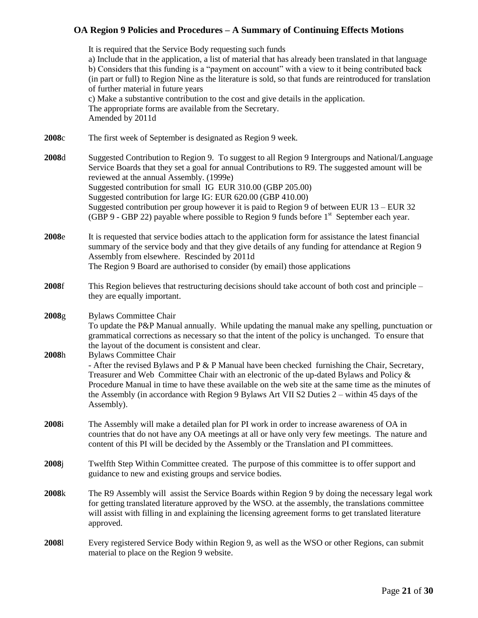It is required that the Service Body requesting such funds a) Include that in the application, a list of material that has already been translated in that language b) Considers that this funding is a "payment on account" with a view to it being contributed back (in part or full) to Region Nine as the literature is sold, so that funds are reintroduced for translation of further material in future years c) Make a substantive contribution to the cost and give details in the application. The appropriate forms are available from the Secretary. Amended by 2011d **2008**c The first week of September is designated as Region 9 week. **2008**d Suggested Contribution to Region 9. To suggest to all Region 9 Intergroups and National/Language Service Boards that they set a goal for annual Contributions to R9. The suggested amount will be reviewed at the annual Assembly. (1999e) Suggested contribution for small IG EUR 310.00 (GBP 205.00) Suggested contribution for large IG: EUR 620.00 (GBP 410.00) Suggested contribution per group however it is paid to Region 9 of between EUR 13 – EUR 32 (GBP 9 - GBP 22) payable where possible to Region 9 funds before  $1<sup>st</sup>$  September each year. **2008**e It is requested that service bodies attach to the application form for assistance the latest financial summary of the service body and that they give details of any funding for attendance at Region 9 Assembly from elsewhere. Rescinded by 2011d The Region 9 Board are authorised to consider (by email) those applications **2008**f This Region believes that restructuring decisions should take account of both cost and principle – they are equally important. **2008**g Bylaws Committee Chair To update the P&P Manual annually. While updating the manual make any spelling, punctuation or grammatical corrections as necessary so that the intent of the policy is unchanged. To ensure that the layout of the document is consistent and clear. **2008**h Bylaws Committee Chair - After the revised Bylaws and P & P Manual have been checked furnishing the Chair, Secretary, Treasurer and Web Committee Chair with an electronic of the up-dated Bylaws and Policy & Procedure Manual in time to have these available on the web site at the same time as the minutes of the Assembly (in accordance with Region 9 Bylaws Art VII S2 Duties 2 – within 45 days of the Assembly). **2008**i The Assembly will make a detailed plan for PI work in order to increase awareness of OA in countries that do not have any OA meetings at all or have only very few meetings. The nature and content of this PI will be decided by the Assembly or the Translation and PI committees. **2008**j Twelfth Step Within Committee created. The purpose of this committee is to offer support and guidance to new and existing groups and service bodies. **2008**k The R9 Assembly will assist the Service Boards within Region 9 by doing the necessary legal work for getting translated literature approved by the WSO. at the assembly, the translations committee will assist with filling in and explaining the licensing agreement forms to get translated literature approved. **2008**l Every registered Service Body within Region 9, as well as the WSO or other Regions, can submit material to place on the Region 9 website.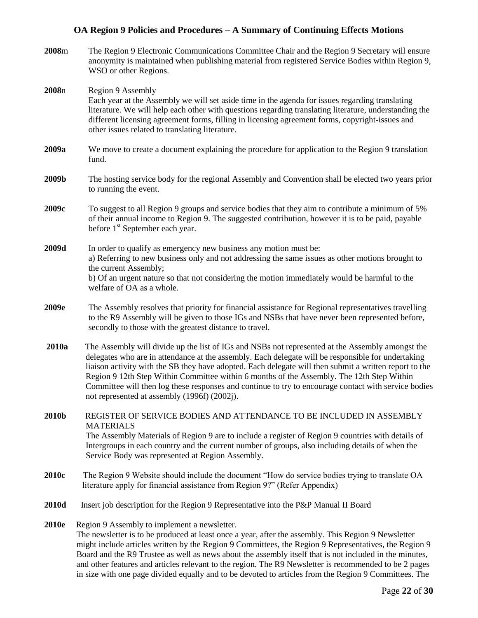**2008**m The Region 9 Electronic Communications Committee Chair and the Region 9 Secretary will ensure anonymity is maintained when publishing material from registered Service Bodies within Region 9, WSO or other Regions. **2008**n Region 9 Assembly Each year at the Assembly we will set aside time in the agenda for issues regarding translating literature. We will help each other with questions regarding translating literature, understanding the different licensing agreement forms, filling in licensing agreement forms, copyright-issues and other issues related to translating literature. **2009a** We move to create a document explaining the procedure for application to the Region 9 translation fund. **2009b** The hosting service body for the regional Assembly and Convention shall be elected two years prior to running the event. **2009c** To suggest to all Region 9 groups and service bodies that they aim to contribute a minimum of 5% of their annual income to Region 9. The suggested contribution, however it is to be paid, payable before 1<sup>st</sup> September each year. **2009d** In order to qualify as emergency new business any motion must be: a) Referring to new business only and not addressing the same issues as other motions brought to the current Assembly; b) Of an urgent nature so that not considering the motion immediately would be harmful to the welfare of OA as a whole. **2009e** The Assembly resolves that priority for financial assistance for Regional representatives travelling to the R9 Assembly will be given to those IGs and NSBs that have never been represented before, secondly to those with the greatest distance to travel. **2010a** The Assembly will divide up the list of IGs and NSBs not represented at the Assembly amongst the delegates who are in attendance at the assembly. Each delegate will be responsible for undertaking liaison activity with the SB they have adopted. Each delegate will then submit a written report to the Region 9 12th Step Within Committee within 6 months of the Assembly. The 12th Step Within Committee will then log these responses and continue to try to encourage contact with service bodies not represented at assembly (1996f) (2002j). **2010b** REGISTER OF SERVICE BODIES AND ATTENDANCE TO BE INCLUDED IN ASSEMBLY MATERIALS The Assembly Materials of Region 9 are to include a register of Region 9 countries with details of Intergroups in each country and the current number of groups, also including details of when the Service Body was represented at Region Assembly. **2010c** The Region 9 Website should include the document "How do service bodies trying to translate OA literature apply for financial assistance from Region 9?" (Refer Appendix) **2010d** Insert job description for the Region 9 Representative into the P&P Manual II Board **2010e** Region 9 Assembly to implement a newsletter. The newsletter is to be produced at least once a year, after the assembly. This Region 9 Newsletter might include articles written by the Region 9 Committees, the Region 9 Representatives, the Region 9 Board and the R9 Trustee as well as news about the assembly itself that is not included in the minutes, and other features and articles relevant to the region. The R9 Newsletter is recommended to be 2 pages in size with one page divided equally and to be devoted to articles from the Region 9 Committees. The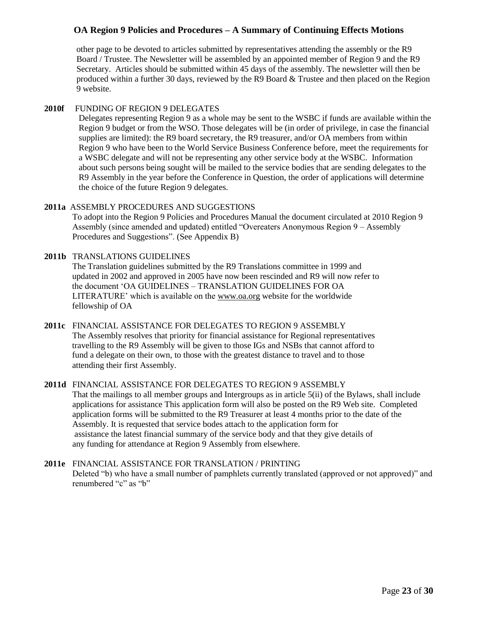other page to be devoted to articles submitted by representatives attending the assembly or the R9 Board / Trustee. The Newsletter will be assembled by an appointed member of Region 9 and the R9 Secretary. Articles should be submitted within 45 days of the assembly. The newsletter will then be produced within a further 30 days, reviewed by the R9 Board  $&$  Trustee and then placed on the Region 9 website.

## **2010f** FUNDING OF REGION 9 DELEGATES

Delegates representing Region 9 as a whole may be sent to the WSBC if funds are available within the Region 9 budget or from the WSO. Those delegates will be (in order of privilege, in case the financial supplies are limited): the R9 board secretary, the R9 treasurer, and/or OA members from within Region 9 who have been to the World Service Business Conference before, meet the requirements for a WSBC delegate and will not be representing any other service body at the WSBC. Information about such persons being sought will be mailed to the service bodies that are sending delegates to the R9 Assembly in the year before the Conference in Question, the order of applications will determine the choice of the future Region 9 delegates.

## **2011a** ASSEMBLY PROCEDURES AND SUGGESTIONS

To adopt into the Region 9 Policies and Procedures Manual the document circulated at 2010 Region 9 Assembly (since amended and updated) entitled "Overeaters Anonymous Region 9 – Assembly Procedures and Suggestions". (See Appendix B)

## **2011b** TRANSLATIONS GUIDELINES

The Translation guidelines submitted by the R9 Translations committee in 1999 and updated in 2002 and approved in 2005 have now been rescinded and R9 will now refer to the document 'OA GUIDELINES – TRANSLATION GUIDELINES FOR OA LITERATURE' which is available on the [www.oa.org](http://www.oa.org/) website for the worldwide fellowship of OA

## **2011c** FINANCIAL ASSISTANCE FOR DELEGATES TO REGION 9 ASSEMBLY

The Assembly resolves that priority for financial assistance for Regional representatives travelling to the R9 Assembly will be given to those IGs and NSBs that cannot afford to fund a delegate on their own, to those with the greatest distance to travel and to those attending their first Assembly.

## **2011d** FINANCIAL ASSISTANCE FOR DELEGATES TO REGION 9 ASSEMBLY

That the mailings to all member groups and Intergroups as in article 5(ii) of the Bylaws, shall include applications for assistance This application form will also be posted on the R9 Web site. Completed application forms will be submitted to the R9 Treasurer at least 4 months prior to the date of the Assembly. It is requested that service bodes attach to the application form for assistance the latest financial summary of the service body and that they give details of any funding for attendance at Region 9 Assembly from elsewhere.

## **2011e** FINANCIAL ASSISTANCE FOR TRANSLATION / PRINTING Deleted "b) who have a small number of pamphlets currently translated (approved or not approved)" and renumbered "c" as "b"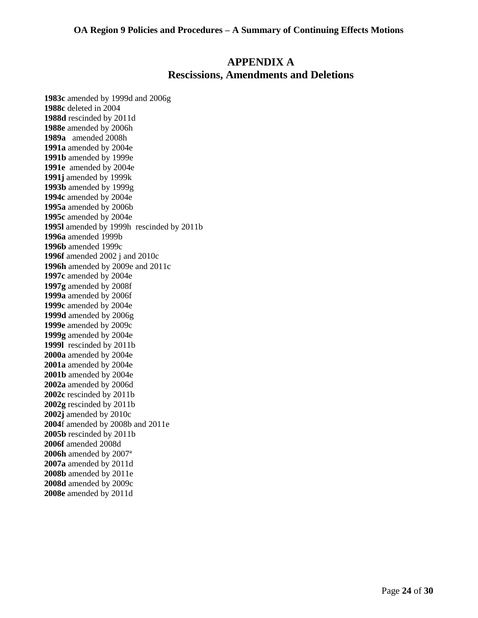## **APPENDIX A Rescissions, Amendments and Deletions**

**1983c** amended by 1999d and 2006g **1988c** deleted in 2004 **1988d** rescinded by 2011d **1988e** amended by 2006h **1989a** amended 2008h **1991a** amended by 2004e **1991b** amended by 1999e **1991e** amended by 2004e **1991j** amended by 1999k **1993b** amended by 1999g **1994c** amended by 2004e **1995a** amended by 2006b **1995c** amended by 2004e **1995l** amended by 1999h rescinded by 2011b **1996a** amended 1999b **1996b** amended 1999c **1996f** amended 2002 j and 2010c **1996h** amended by 2009e and 2011c **1997c** amended by 2004e **1997g** amended by 2008f **1999a** amended by 2006f **1999c** amended by 2004e **1999d** amended by 2006g **1999e** amended by 2009c **1999g** amended by 2004e **1999l** rescinded by 2011b **2000a** amended by 2004e **2001a** amended by 2004e **2001b** amended by 2004e **2002a** amended by 2006d **2002c** rescinded by 2011b **2002g** rescinded by 2011b **2002j** amended by 2010c **2004**f amended by 2008b and 2011e **2005b** rescinded by 2011b **2006f** amended 2008d **2006h** amended by 2007ª **2007a** amended by 2011d **2008b** amended by 2011e **2008d** amended by 2009c **2008e** amended by 2011d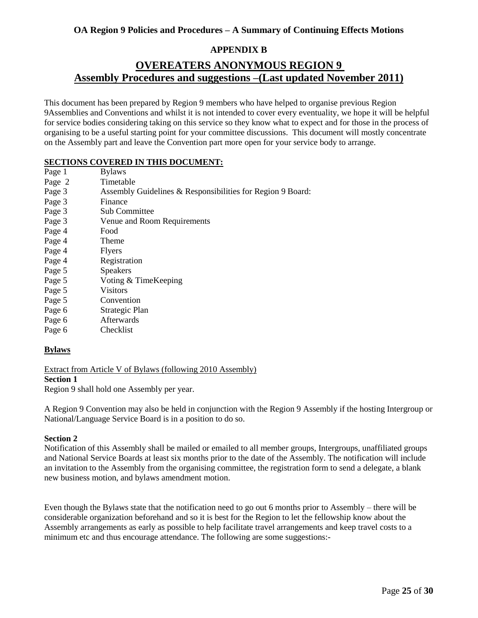## **APPENDIX B**

## **OVEREATERS ANONYMOUS REGION 9 Assembly Procedures and suggestions –(Last updated November 2011)**

This document has been prepared by Region 9 members who have helped to organise previous Region 9Assemblies and Conventions and whilst it is not intended to cover every eventuality, we hope it will be helpful for service bodies considering taking on this service so they know what to expect and for those in the process of organising to be a useful starting point for your committee discussions. This document will mostly concentrate on the Assembly part and leave the Convention part more open for your service body to arrange.

## **SECTIONS COVERED IN THIS DOCUMENT:**

| Page 1 | <b>Bylaws</b>                                              |
|--------|------------------------------------------------------------|
| Page 2 | Timetable                                                  |
| Page 3 | Assembly Guidelines & Responsibilities for Region 9 Board: |
| Page 3 | Finance                                                    |
| Page 3 | Sub Committee                                              |
| Page 3 | Venue and Room Requirements                                |
| Page 4 | Food                                                       |
| Page 4 | Theme                                                      |
| Page 4 | <b>Flyers</b>                                              |
| Page 4 | Registration                                               |
| Page 5 | <b>Speakers</b>                                            |
| Page 5 | Voting & TimeKeeping                                       |
| Page 5 | Visitors                                                   |
| Page 5 | Convention                                                 |
| Page 6 | Strategic Plan                                             |
| Page 6 | <b>Afterwards</b>                                          |
| Page 6 | Checklist                                                  |
|        |                                                            |

## **Bylaws**

Extract from Article V of Bylaws (following 2010 Assembly) **Section 1**

Region 9 shall hold one Assembly per year.

A Region 9 Convention may also be held in conjunction with the Region 9 Assembly if the hosting Intergroup or National/Language Service Board is in a position to do so.

## **Section 2**

Notification of this Assembly shall be mailed or emailed to all member groups, Intergroups, unaffiliated groups and National Service Boards at least six months prior to the date of the Assembly. The notification will include an invitation to the Assembly from the organising committee, the registration form to send a delegate, a blank new business motion, and bylaws amendment motion.

Even though the Bylaws state that the notification need to go out 6 months prior to Assembly – there will be considerable organization beforehand and so it is best for the Region to let the fellowship know about the Assembly arrangements as early as possible to help facilitate travel arrangements and keep travel costs to a minimum etc and thus encourage attendance. The following are some suggestions:-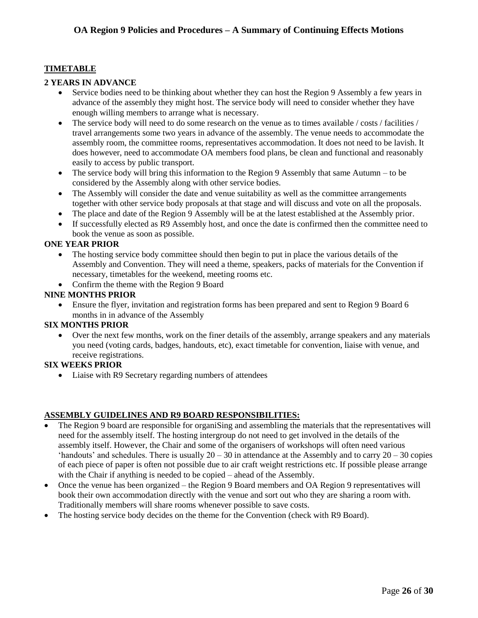## **TIMETABLE**

## **2 YEARS IN ADVANCE**

- Service bodies need to be thinking about whether they can host the Region 9 Assembly a few years in advance of the assembly they might host. The service body will need to consider whether they have enough willing members to arrange what is necessary.
- The service body will need to do some research on the venue as to times available / costs / facilities / travel arrangements some two years in advance of the assembly. The venue needs to accommodate the assembly room, the committee rooms, representatives accommodation. It does not need to be lavish. It does however, need to accommodate OA members food plans, be clean and functional and reasonably easily to access by public transport.
- The service body will bring this information to the Region 9 Assembly that same Autumn to be considered by the Assembly along with other service bodies.
- The Assembly will consider the date and venue suitability as well as the committee arrangements together with other service body proposals at that stage and will discuss and vote on all the proposals.
- The place and date of the Region 9 Assembly will be at the latest established at the Assembly prior.
- If successfully elected as R9 Assembly host, and once the date is confirmed then the committee need to book the venue as soon as possible.

### **ONE YEAR PRIOR**

- The hosting service body committee should then begin to put in place the various details of the Assembly and Convention. They will need a theme, speakers, packs of materials for the Convention if necessary, timetables for the weekend, meeting rooms etc.
- Confirm the theme with the Region 9 Board

#### **NINE MONTHS PRIOR**

 Ensure the flyer, invitation and registration forms has been prepared and sent to Region 9 Board 6 months in in advance of the Assembly

## **SIX MONTHS PRIOR**

 Over the next few months, work on the finer details of the assembly, arrange speakers and any materials you need (voting cards, badges, handouts, etc), exact timetable for convention, liaise with venue, and receive registrations.

## **SIX WEEKS PRIOR**

• Liaise with R9 Secretary regarding numbers of attendees

## **ASSEMBLY GUIDELINES AND R9 BOARD RESPONSIBILITIES:**

- The Region 9 board are responsible for organiSing and assembling the materials that the representatives will need for the assembly itself. The hosting intergroup do not need to get involved in the details of the assembly itself. However, the Chair and some of the organisers of workshops will often need various 'handouts' and schedules. There is usually  $20 - 30$  in attendance at the Assembly and to carry  $20 - 30$  copies of each piece of paper is often not possible due to air craft weight restrictions etc. If possible please arrange with the Chair if anything is needed to be copied – ahead of the Assembly.
- Once the venue has been organized the Region 9 Board members and OA Region 9 representatives will book their own accommodation directly with the venue and sort out who they are sharing a room with. Traditionally members will share rooms whenever possible to save costs.
- The hosting service body decides on the theme for the Convention (check with R9 Board).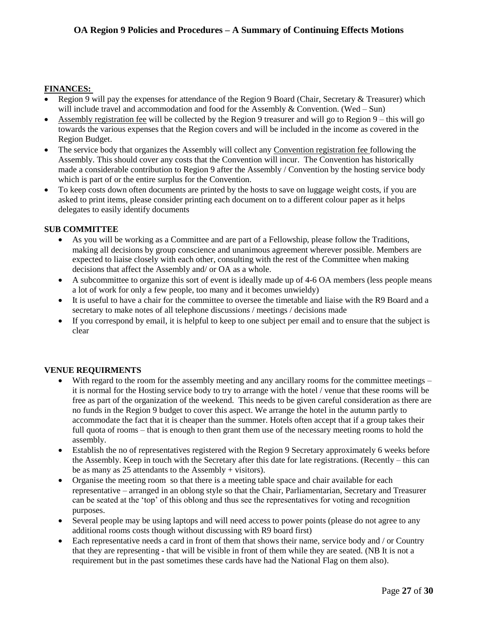## **FINANCES:**

- Region 9 will pay the expenses for attendance of the Region 9 Board (Chair, Secretary & Treasurer) which will include travel and accommodation and food for the Assembly  $&$  Convention. (Wed – Sun)
- Assembly registration fee will be collected by the Region 9 treasurer and will go to Region 9 this will go towards the various expenses that the Region covers and will be included in the income as covered in the Region Budget.
- The service body that organizes the Assembly will collect any Convention registration fee following the Assembly. This should cover any costs that the Convention will incur. The Convention has historically made a considerable contribution to Region 9 after the Assembly / Convention by the hosting service body which is part of or the entire surplus for the Convention.
- To keep costs down often documents are printed by the hosts to save on luggage weight costs, if you are asked to print items, please consider printing each document on to a different colour paper as it helps delegates to easily identify documents

## **SUB COMMITTEE**

- As you will be working as a Committee and are part of a Fellowship, please follow the Traditions, making all decisions by group conscience and unanimous agreement wherever possible. Members are expected to liaise closely with each other, consulting with the rest of the Committee when making decisions that affect the Assembly and/ or OA as a whole.
- A subcommittee to organize this sort of event is ideally made up of 4-6 OA members (less people means a lot of work for only a few people, too many and it becomes unwieldy)
- It is useful to have a chair for the committee to oversee the timetable and liaise with the R9 Board and a secretary to make notes of all telephone discussions / meetings / decisions made
- If you correspond by email, it is helpful to keep to one subject per email and to ensure that the subject is clear

## **VENUE REQUIRMENTS**

- With regard to the room for the assembly meeting and any ancillary rooms for the committee meetings it is normal for the Hosting service body to try to arrange with the hotel / venue that these rooms will be free as part of the organization of the weekend. This needs to be given careful consideration as there are no funds in the Region 9 budget to cover this aspect. We arrange the hotel in the autumn partly to accommodate the fact that it is cheaper than the summer. Hotels often accept that if a group takes their full quota of rooms – that is enough to then grant them use of the necessary meeting rooms to hold the assembly.
- Establish the no of representatives registered with the Region 9 Secretary approximately 6 weeks before the Assembly. Keep in touch with the Secretary after this date for late registrations. (Recently – this can be as many as 25 attendants to the Assembly + visitors).
- Organise the meeting room so that there is a meeting table space and chair available for each representative – arranged in an oblong style so that the Chair, Parliamentarian, Secretary and Treasurer can be seated at the 'top' of this oblong and thus see the representatives for voting and recognition purposes.
- Several people may be using laptops and will need access to power points (please do not agree to any additional rooms costs though without discussing with R9 board first)
- Each representative needs a card in front of them that shows their name, service body and / or Country that they are representing - that will be visible in front of them while they are seated. (NB It is not a requirement but in the past sometimes these cards have had the National Flag on them also).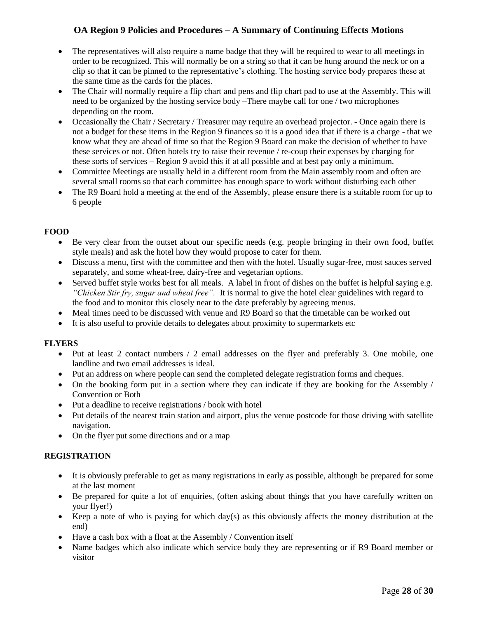- The representatives will also require a name badge that they will be required to wear to all meetings in order to be recognized. This will normally be on a string so that it can be hung around the neck or on a clip so that it can be pinned to the representative's clothing. The hosting service body prepares these at the same time as the cards for the places.
- The Chair will normally require a flip chart and pens and flip chart pad to use at the Assembly. This will need to be organized by the hosting service body –There maybe call for one / two microphones depending on the room.
- Occasionally the Chair / Secretary / Treasurer may require an overhead projector. Once again there is not a budget for these items in the Region 9 finances so it is a good idea that if there is a charge - that we know what they are ahead of time so that the Region 9 Board can make the decision of whether to have these services or not. Often hotels try to raise their revenue / re-coup their expenses by charging for these sorts of services – Region 9 avoid this if at all possible and at best pay only a minimum.
- Committee Meetings are usually held in a different room from the Main assembly room and often are several small rooms so that each committee has enough space to work without disturbing each other
- The R9 Board hold a meeting at the end of the Assembly, please ensure there is a suitable room for up to 6 people

## **FOOD**

- Be very clear from the outset about our specific needs (e.g. people bringing in their own food, buffet style meals) and ask the hotel how they would propose to cater for them.
- Discuss a menu, first with the committee and then with the hotel. Usually sugar-free, most sauces served separately, and some wheat-free, dairy-free and vegetarian options.
- Served buffet style works best for all meals. A label in front of dishes on the buffet is helpful saying e.g. *"Chicken Stir fry, sugar and wheat free".* It is normal to give the hotel clear guidelines with regard to the food and to monitor this closely near to the date preferably by agreeing menus.
- Meal times need to be discussed with venue and R9 Board so that the timetable can be worked out
- It is also useful to provide details to delegates about proximity to supermarkets etc

## **FLYERS**

- Put at least 2 contact numbers / 2 email addresses on the flyer and preferably 3. One mobile, one landline and two email addresses is ideal.
- Put an address on where people can send the completed delegate registration forms and cheques.
- On the booking form put in a section where they can indicate if they are booking for the Assembly / Convention or Both
- Put a deadline to receive registrations / book with hotel
- Put details of the nearest train station and airport, plus the venue postcode for those driving with satellite navigation.
- On the flyer put some directions and or a map

## **REGISTRATION**

- It is obviously preferable to get as many registrations in early as possible, although be prepared for some at the last moment
- Be prepared for quite a lot of enquiries, (often asking about things that you have carefully written on your flyer!)
- Keep a note of who is paying for which day(s) as this obviously affects the money distribution at the end)
- Have a cash box with a float at the Assembly / Convention itself
- Name badges which also indicate which service body they are representing or if R9 Board member or visitor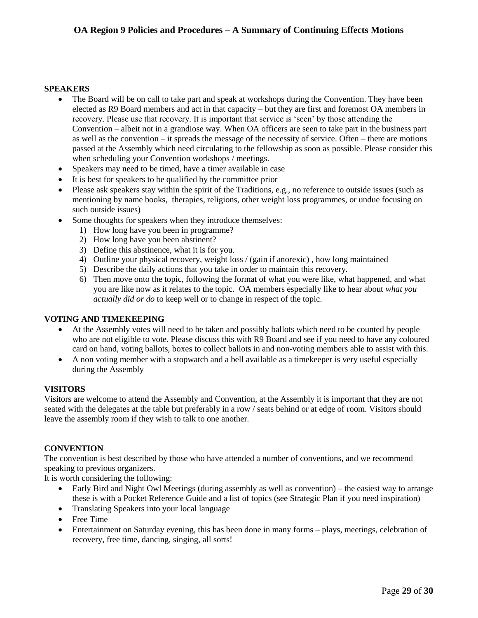#### **SPEAKERS**

- The Board will be on call to take part and speak at workshops during the Convention. They have been elected as R9 Board members and act in that capacity – but they are first and foremost OA members in recovery. Please use that recovery. It is important that service is 'seen' by those attending the Convention – albeit not in a grandiose way. When OA officers are seen to take part in the business part as well as the convention – it spreads the message of the necessity of service. Often – there are motions passed at the Assembly which need circulating to the fellowship as soon as possible. Please consider this when scheduling your Convention workshops / meetings.
- Speakers may need to be timed, have a timer available in case
- It is best for speakers to be qualified by the committee prior
- Please ask speakers stay within the spirit of the Traditions, e.g., no reference to outside issues (such as mentioning by name books, therapies, religions, other weight loss programmes, or undue focusing on such outside issues)
- Some thoughts for speakers when they introduce themselves:
	- 1) How long have you been in programme?
	- 2) How long have you been abstinent?
	- 3) Define this abstinence, what it is for you.
	- 4) Outline your physical recovery, weight loss / (gain if anorexic) , how long maintained
	- 5) Describe the daily actions that you take in order to maintain this recovery.
	- 6) Then move onto the topic, following the format of what you were like, what happened, and what you are like now as it relates to the topic. OA members especially like to hear about *what you actually did or do* to keep well or to change in respect of the topic.

#### **VOTING AND TIMEKEEPING**

- At the Assembly votes will need to be taken and possibly ballots which need to be counted by people who are not eligible to vote. Please discuss this with R9 Board and see if you need to have any coloured card on hand, voting ballots, boxes to collect ballots in and non-voting members able to assist with this.
- A non voting member with a stopwatch and a bell available as a timekeeper is very useful especially during the Assembly

#### **VISITORS**

Visitors are welcome to attend the Assembly and Convention, at the Assembly it is important that they are not seated with the delegates at the table but preferably in a row / seats behind or at edge of room. Visitors should leave the assembly room if they wish to talk to one another.

#### **CONVENTION**

The convention is best described by those who have attended a number of conventions, and we recommend speaking to previous organizers.

It is worth considering the following:

- Early Bird and Night Owl Meetings (during assembly as well as convention) the easiest way to arrange these is with a Pocket Reference Guide and a list of topics (see Strategic Plan if you need inspiration)
- Translating Speakers into your local language
- Free Time
- Entertainment on Saturday evening, this has been done in many forms plays, meetings, celebration of recovery, free time, dancing, singing, all sorts!